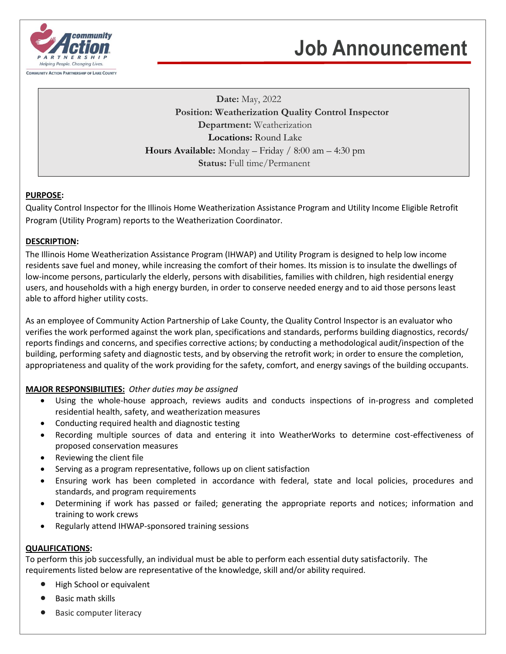

## **Job Announcement**

**Date:** May, 2022 **Position: Weatherization Quality Control Inspector Department:** Weatherization **Locations:** Round Lake **Hours Available:** Monday – Friday / 8:00 am – 4:30 pm **Status:** Full time/Permanent

## **PURPOSE:**

Quality Control Inspector for the Illinois Home Weatherization Assistance Program and Utility Income Eligible Retrofit Program (Utility Program) reports to the Weatherization Coordinator.

## **DESCRIPTION:**

The Illinois Home Weatherization Assistance Program (IHWAP) and Utility Program is designed to help low income residents save fuel and money, while increasing the comfort of their homes. Its mission is to insulate the dwellings of low-income persons, particularly the elderly, persons with disabilities, families with children, high residential energy users, and households with a high energy burden, in order to conserve needed energy and to aid those persons least able to afford higher utility costs.

As an employee of Community Action Partnership of Lake County, the Quality Control Inspector is an evaluator who verifies the work performed against the work plan, specifications and standards, performs building diagnostics, records/ reports findings and concerns, and specifies corrective actions; by conducting a methodological audit/inspection of the building, performing safety and diagnostic tests, and by observing the retrofit work; in order to ensure the completion, appropriateness and quality of the work providing for the safety, comfort, and energy savings of the building occupants.

## **MAJOR RESPONSIBILITIES:** *Other duties may be assigned*

- Using the whole-house approach, reviews audits and conducts inspections of in-progress and completed residential health, safety, and weatherization measures
- Conducting required health and diagnostic testing
- Recording multiple sources of data and entering it into WeatherWorks to determine cost-effectiveness of proposed conservation measures
- Reviewing the client file
- Serving as a program representative, follows up on client satisfaction
- Ensuring work has been completed in accordance with federal, state and local policies, procedures and standards, and program requirements
- Determining if work has passed or failed; generating the appropriate reports and notices; information and training to work crews
- Regularly attend IHWAP-sponsored training sessions

## **QUALIFICATIONS:**

To perform this job successfully, an individual must be able to perform each essential duty satisfactorily. The requirements listed below are representative of the knowledge, skill and/or ability required.

- High School or equivalent
- Basic math skills
- Basic computer literacy